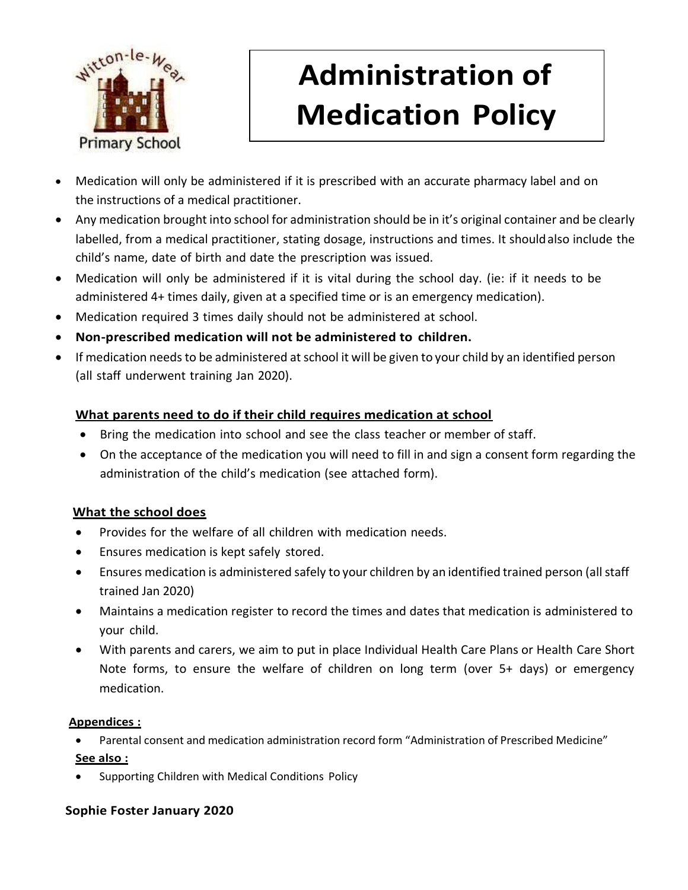

## **Administration of Medication Policy**

- Medication will only be administered if it is prescribed with an accurate pharmacy label and on the instructions of a medical practitioner.
- Any medication brought into school for administration should be in it's original container and be clearly labelled, from a medical practitioner, stating dosage, instructions and times. It shouldalso include the child's name, date of birth and date the prescription was issued.
- Medication will only be administered if it is vital during the school day. (ie: if it needs to be administered 4+ times daily, given at a specified time or is an emergency medication).
- Medication required 3 times daily should not be administered at school.
- **Non-prescribed medication will not be administered to children.**
- If medication needs to be administered at school it will be given to your child by an identified person (all staff underwent training Jan 2020).

#### **What parents need to do if their child requires medication at school**

- Bring the medication into school and see the class teacher or member of staff.
- On the acceptance of the medication you will need to fill in and sign a consent form regarding the administration of the child's medication (see attached form).

#### **What the school does**

- Provides for the welfare of all children with medication needs.
- Ensures medication is kept safely stored.
- Ensures medication is administered safely to your children by an identified trained person (all staff trained Jan 2020)
- Maintains a medication register to record the times and dates that medication is administered to your child.
- With parents and carers, we aim to put in place Individual Health Care Plans or Health Care Short Note forms, to ensure the welfare of children on long term (over 5+ days) or emergency medication.

#### **Appendices :**

- Parental consent and medication administration record form "Administration of Prescribed Medicine"
- **See also :**
- Supporting Children with Medical Conditions Policy

#### **Sophie Foster January 2020**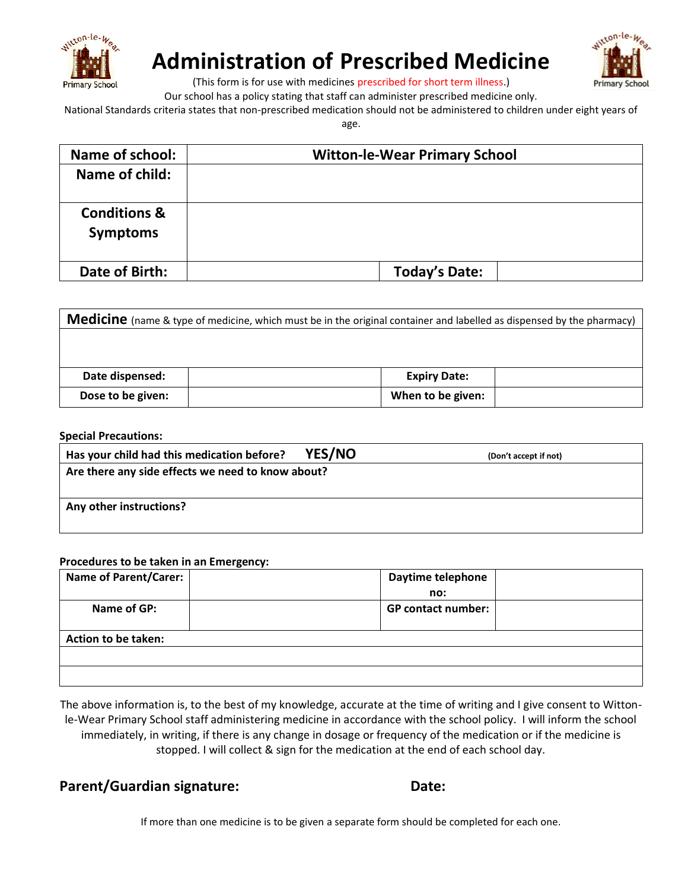

### **Administration of Prescribed Medicine**



(This form is for use with medicines prescribed for short term illness.)

Our school has a policy stating that staff can administer prescribed medicine only.

National Standards criteria states that non-prescribed medication should not be administered to children under eight years of

age.

| <b>Name of school:</b>                     | <b>Witton-le-Wear Primary School</b> |  |  |
|--------------------------------------------|--------------------------------------|--|--|
| Name of child:                             |                                      |  |  |
| <b>Conditions &amp;</b><br><b>Symptoms</b> |                                      |  |  |
| Date of Birth:                             | <b>Today's Date:</b>                 |  |  |

| <b>Medicine</b> (name & type of medicine, which must be in the original container and labelled as dispensed by the pharmacy) |                     |  |  |  |
|------------------------------------------------------------------------------------------------------------------------------|---------------------|--|--|--|
|                                                                                                                              |                     |  |  |  |
|                                                                                                                              |                     |  |  |  |
| Date dispensed:                                                                                                              | <b>Expiry Date:</b> |  |  |  |
| Dose to be given:                                                                                                            | When to be given:   |  |  |  |

| <b>Special Precautions:</b> |  |
|-----------------------------|--|
|-----------------------------|--|

| Has your child had this medication before?        | <b>YES/NO</b> | (Don't accept if not) |  |  |  |
|---------------------------------------------------|---------------|-----------------------|--|--|--|
| Are there any side effects we need to know about? |               |                       |  |  |  |
|                                                   |               |                       |  |  |  |
| Any other instructions?                           |               |                       |  |  |  |
|                                                   |               |                       |  |  |  |

#### **Procedures to be taken in an Emergency:**

| <b>Name of Parent/Carer:</b> | Daytime telephone         |  |  |  |  |
|------------------------------|---------------------------|--|--|--|--|
|                              | no:                       |  |  |  |  |
| Name of GP:                  | <b>GP contact number:</b> |  |  |  |  |
|                              |                           |  |  |  |  |
| Action to be taken:          |                           |  |  |  |  |
|                              |                           |  |  |  |  |
|                              |                           |  |  |  |  |
|                              |                           |  |  |  |  |

The above information is, to the best of my knowledge, accurate at the time of writing and I give consent to Wittonle-Wear Primary School staff administering medicine in accordance with the school policy. I will inform the school immediately, in writing, if there is any change in dosage or frequency of the medication or if the medicine is stopped. I will collect & sign for the medication at the end of each school day.

**Parent/Guardian signature: Date:**

If more than one medicine is to be given a separate form should be completed for each one.